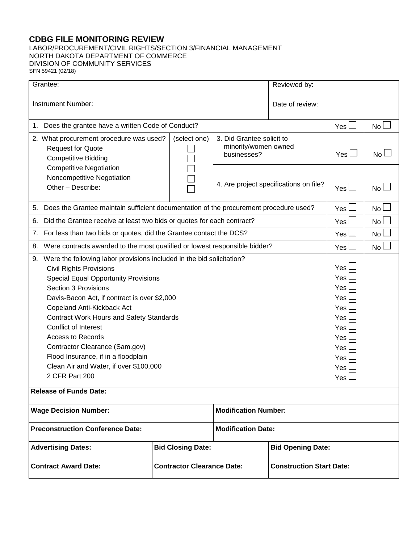## **CDBG FILE MONITORING REVIEW**

LABOR/PROCUREMENT/CIVIL RIGHTS/SECTION 3/FINANCIAL MANAGEMENT NORTH DAKOTA DEPARTMENT OF COMMERCE DIVISION OF COMMUNITY SERVICES SFN 59421 (02/18)

| Grantee:                                                                                                                                                                                                                                                                                                                                                                                                                                                                                                           |                                                      |                                                                  | Reviewed by:                           |                                                                                    |                 |
|--------------------------------------------------------------------------------------------------------------------------------------------------------------------------------------------------------------------------------------------------------------------------------------------------------------------------------------------------------------------------------------------------------------------------------------------------------------------------------------------------------------------|------------------------------------------------------|------------------------------------------------------------------|----------------------------------------|------------------------------------------------------------------------------------|-----------------|
| <b>Instrument Number:</b>                                                                                                                                                                                                                                                                                                                                                                                                                                                                                          |                                                      |                                                                  | Date of review:                        |                                                                                    |                 |
| 1. Does the grantee have a written Code of Conduct?                                                                                                                                                                                                                                                                                                                                                                                                                                                                |                                                      |                                                                  |                                        | Yes l                                                                              | No L            |
| 2. What procurement procedure was used?<br><b>Request for Quote</b><br><b>Competitive Bidding</b>                                                                                                                                                                                                                                                                                                                                                                                                                  | (select one)                                         | 3. Did Grantee solicit to<br>minority/women owned<br>businesses? |                                        | Yes $\Box$                                                                         | No L            |
| <b>Competitive Negotiation</b><br>Noncompetitive Negotiation<br>Other - Describe:                                                                                                                                                                                                                                                                                                                                                                                                                                  |                                                      |                                                                  | 4. Are project specifications on file? | Yes $\Box$                                                                         | No L            |
| 5. Does the Grantee maintain sufficient documentation of the procurement procedure used?                                                                                                                                                                                                                                                                                                                                                                                                                           |                                                      |                                                                  |                                        | Yes l                                                                              | No <sub>1</sub> |
| Did the Grantee receive at least two bids or quotes for each contract?<br>6.                                                                                                                                                                                                                                                                                                                                                                                                                                       |                                                      |                                                                  |                                        | Yes                                                                                | <b>No</b>       |
| For less than two bids or quotes, did the Grantee contact the DCS?<br>7.                                                                                                                                                                                                                                                                                                                                                                                                                                           |                                                      |                                                                  |                                        | Yes                                                                                | No              |
| 8.<br>Were contracts awarded to the most qualified or lowest responsible bidder?                                                                                                                                                                                                                                                                                                                                                                                                                                   |                                                      |                                                                  |                                        | Yes                                                                                | No L            |
| 9. Were the following labor provisions included in the bid solicitation?<br><b>Civil Rights Provisions</b><br><b>Special Equal Opportunity Provisions</b><br><b>Section 3 Provisions</b><br>Davis-Bacon Act, if contract is over \$2,000<br>Copeland Anti-Kickback Act<br><b>Contract Work Hours and Safety Standards</b><br>Conflict of Interest<br><b>Access to Records</b><br>Contractor Clearance (Sam.gov)<br>Flood Insurance, if in a floodplain<br>Clean Air and Water, if over \$100,000<br>2 CFR Part 200 |                                                      |                                                                  |                                        | Yes l<br>Yes<br>Yes<br>Yes<br>Yes<br>Yes<br>Yes<br>Yes<br>Yes<br>Yes<br>Yes<br>Yes |                 |
| <b>Release of Funds Date:</b>                                                                                                                                                                                                                                                                                                                                                                                                                                                                                      |                                                      |                                                                  |                                        |                                                                                    |                 |
| <b>Modification Number:</b><br><b>Wage Decision Number:</b>                                                                                                                                                                                                                                                                                                                                                                                                                                                        |                                                      |                                                                  |                                        |                                                                                    |                 |
| <b>Preconstruction Conference Date:</b>                                                                                                                                                                                                                                                                                                                                                                                                                                                                            |                                                      | <b>Modification Date:</b>                                        |                                        |                                                                                    |                 |
| <b>Advertising Dates:</b>                                                                                                                                                                                                                                                                                                                                                                                                                                                                                          | <b>Bid Closing Date:</b><br><b>Bid Opening Date:</b> |                                                                  |                                        |                                                                                    |                 |
| <b>Contract Award Date:</b><br><b>Contractor Clearance Date:</b>                                                                                                                                                                                                                                                                                                                                                                                                                                                   |                                                      |                                                                  | <b>Construction Start Date:</b>        |                                                                                    |                 |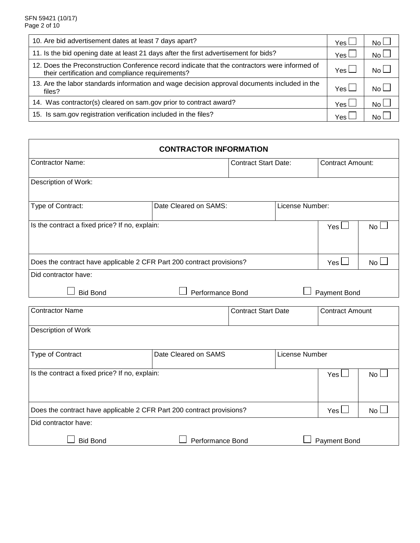| 10. Are bid advertisement dates at least 7 days apart?                                                                                            | Yes l | No L            |
|---------------------------------------------------------------------------------------------------------------------------------------------------|-------|-----------------|
| 11. Is the bid opening date at least 21 days after the first advertisement for bids?                                                              | Yes l | No <sub>l</sub> |
| 12. Does the Preconstruction Conference record indicate that the contractors were informed of<br>their certification and compliance requirements? | Yes l | No L            |
| 13. Are the labor standards information and wage decision approval documents included in the<br>files?                                            | Yes I | No <sub>l</sub> |
| 14. Was contractor(s) cleared on sam.gov prior to contract award?                                                                                 | Yes l | No L            |
| 15. Is sam.gov registration verification included in the files?                                                                                   | Yes.  | No.             |

| <b>CONTRACTOR INFORMATION</b>                                         |                       |                             |                 |                        |                         |  |
|-----------------------------------------------------------------------|-----------------------|-----------------------------|-----------------|------------------------|-------------------------|--|
| <b>Contractor Name:</b>                                               |                       | <b>Contract Start Date:</b> |                 |                        | <b>Contract Amount:</b> |  |
| Description of Work:                                                  |                       |                             |                 |                        |                         |  |
| Type of Contract:                                                     | Date Cleared on SAMS: |                             | License Number: |                        |                         |  |
| Is the contract a fixed price? If no, explain:                        |                       |                             |                 | Yes l                  | No l                    |  |
| Does the contract have applicable 2 CFR Part 200 contract provisions? |                       |                             |                 |                        | No <sub>1</sub>         |  |
| Did contractor have:                                                  |                       |                             |                 |                        |                         |  |
| <b>Bid Bond</b>                                                       | Performance Bond      |                             |                 | Payment Bond           |                         |  |
| <b>Contractor Name</b>                                                |                       | <b>Contract Start Date</b>  |                 | <b>Contract Amount</b> |                         |  |
| Description of Work                                                   |                       |                             |                 |                        |                         |  |
| Type of Contract                                                      | Date Cleared on SAMS  |                             | License Number  |                        |                         |  |
| Is the contract a fixed price? If no, explain:                        |                       |                             |                 | Yes I                  | No l                    |  |
| Does the contract have applicable 2 CFR Part 200 contract provisions? |                       |                             |                 | Yes l                  | No L                    |  |
| Did contractor have:                                                  |                       |                             |                 |                        |                         |  |
| <b>Bid Bond</b>                                                       | Performance Bond      |                             |                 | Payment Bond           |                         |  |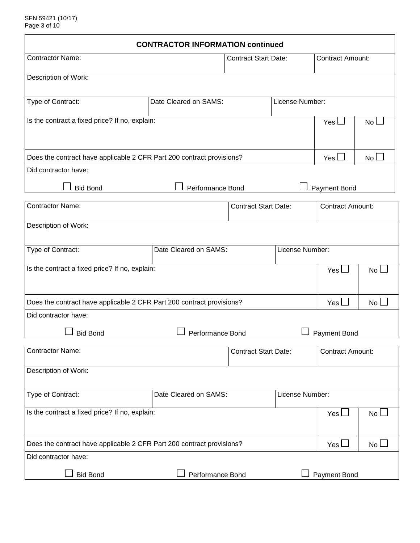| <b>CONTRACTOR INFORMATION continued</b>                               |                           |                             |                 |                         |                 |  |
|-----------------------------------------------------------------------|---------------------------|-----------------------------|-----------------|-------------------------|-----------------|--|
| <b>Contractor Name:</b>                                               |                           | <b>Contract Start Date:</b> |                 | <b>Contract Amount:</b> |                 |  |
| Description of Work:                                                  |                           |                             |                 |                         |                 |  |
| Type of Contract:                                                     | Date Cleared on SAMS:     |                             | License Number: |                         |                 |  |
| Is the contract a fixed price? If no, explain:                        | Yes $\mathsf{\mathsf{L}}$ | No l                        |                 |                         |                 |  |
|                                                                       |                           |                             |                 |                         |                 |  |
| Does the contract have applicable 2 CFR Part 200 contract provisions? |                           |                             |                 |                         | No <sub>1</sub> |  |
| Did contractor have:                                                  |                           |                             |                 |                         |                 |  |
| <b>Bid Bond</b>                                                       | Performance Bond          |                             |                 | <b>Payment Bond</b>     |                 |  |
| <b>Contractor Name:</b>                                               |                           | <b>Contract Start Date:</b> |                 | <b>Contract Amount:</b> |                 |  |
| Description of Work:                                                  |                           |                             |                 |                         |                 |  |
| Type of Contract:                                                     | Date Cleared on SAMS:     |                             | License Number: |                         |                 |  |
| Is the contract a fixed price? If no, explain:                        |                           |                             |                 | $Yes \Box$              | <b>No</b>       |  |
|                                                                       |                           |                             |                 |                         |                 |  |
| Does the contract have applicable 2 CFR Part 200 contract provisions? |                           |                             |                 | Yes $\Box$              | No l            |  |
| Did contractor have:                                                  |                           |                             |                 |                         |                 |  |
| <b>Bid Bond</b>                                                       | Performance Bond          |                             |                 | <b>Payment Bond</b>     |                 |  |
| <b>Contractor Name:</b>                                               |                           | <b>Contract Start Date:</b> |                 | <b>Contract Amount:</b> |                 |  |
| Description of Work:                                                  |                           |                             |                 |                         |                 |  |
| Type of Contract:                                                     | Date Cleared on SAMS:     |                             | License Number: |                         |                 |  |
| Is the contract a fixed price? If no, explain:                        |                           |                             |                 | $Yes \Box$              | No L            |  |
|                                                                       |                           |                             |                 |                         |                 |  |
| Does the contract have applicable 2 CFR Part 200 contract provisions? |                           |                             |                 | Yes $\Box$              | No <sub>1</sub> |  |
| Did contractor have:                                                  |                           |                             |                 |                         |                 |  |
| <b>Bid Bond</b>                                                       | Performance Bond          |                             |                 | Payment Bond            |                 |  |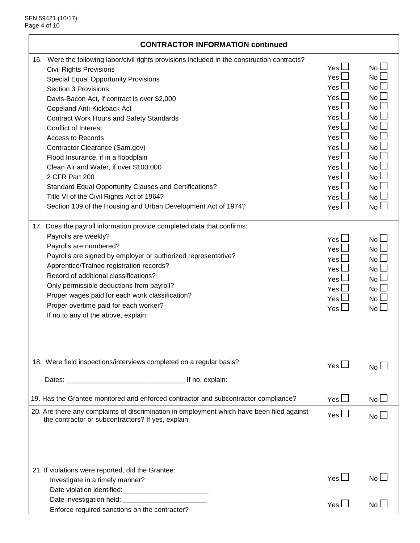| <b>CONTRACTOR INFORMATION continued</b>                                                      |                           |                           |  |  |
|----------------------------------------------------------------------------------------------|---------------------------|---------------------------|--|--|
| 16. Were the following labor/civil rights provisions included in the construction contracts? |                           |                           |  |  |
| <b>Civil Rights Provisions</b>                                                               | Yes $\Box$                | No L                      |  |  |
| <b>Special Equal Opportunity Provisions</b>                                                  | Yes $\Box$                | No L                      |  |  |
| Section 3 Provisions                                                                         | $Yes \Box$                | No l                      |  |  |
| Davis-Bacon Act, if contract is over \$2,000                                                 | Yes L                     | No l                      |  |  |
| Copeland Anti-Kickback Act                                                                   | Yes                       | No                        |  |  |
| <b>Contract Work Hours and Safety Standards</b>                                              | Yes                       | No <sub>1</sub>           |  |  |
| <b>Conflict of Interest</b>                                                                  | Yes $\mathsf{\mathsf{L}}$ | No l                      |  |  |
| <b>Access to Records</b>                                                                     | Yes I                     | No l                      |  |  |
| Contractor Clearance (Sam.gov)                                                               | Yes l                     | No l                      |  |  |
| Flood Insurance, if in a floodplain                                                          | Yes I                     | No <sub>1</sub>           |  |  |
| Clean Air and Water, if over \$100,000                                                       | Yes I                     | No                        |  |  |
| 2 CFR Part 200                                                                               | Yes $\mathsf{\mathsf{L}}$ | No l                      |  |  |
| Standard Equal Opportunity Clauses and Certifications?                                       | Yes <sup>1</sup>          | No l                      |  |  |
| Title VI of the Civil Rights Act of 1964?                                                    | Yes l                     | No l                      |  |  |
| Section 109 of the Housing and Urban Development Act of 1974?                                | Yes                       | No l                      |  |  |
|                                                                                              |                           |                           |  |  |
| 17. Does the payroll information provide completed data that confirms:                       |                           |                           |  |  |
| Payrolls are weekly?                                                                         | $Yes \Box$                | No L                      |  |  |
| Payrolls are numbered?                                                                       | Yes l                     | No                        |  |  |
| Payrolls are signed by employer or authorized representative?                                | Yes $\mathsf{\mathsf{L}}$ | No l                      |  |  |
| Apprentice/Trainee registration records?                                                     |                           |                           |  |  |
| Record of additional classifications?                                                        | Yes l                     | No l                      |  |  |
| Only permissible deductions from payroll?                                                    | Yes l                     | No l                      |  |  |
| Proper wages paid for each work classification?                                              | Yes l                     | No <sub>1</sub>           |  |  |
| Proper overtime paid for each worker?                                                        | Yes l                     | No l                      |  |  |
| If no to any of the above, explain:                                                          | Yes $\Box$                | No $\Box$                 |  |  |
|                                                                                              |                           |                           |  |  |
|                                                                                              |                           |                           |  |  |
|                                                                                              |                           |                           |  |  |
| 18. Were field inspections/interviews completed on a regular basis?                          | Yes $\Box$                | $\mathsf{No}\,\mathsf{L}$ |  |  |
|                                                                                              |                           |                           |  |  |
|                                                                                              |                           |                           |  |  |
| 19. Has the Grantee monitored and enforced contractor and subcontractor compliance?          | Yes $\Box$                | No L                      |  |  |
| 20. Are there any complaints of discrimination in employment which have been filed against   | Yes $\Box$                |                           |  |  |
| the contractor or subcontractors? If yes, explain:                                           |                           | No L                      |  |  |
|                                                                                              |                           |                           |  |  |
|                                                                                              |                           |                           |  |  |
|                                                                                              |                           |                           |  |  |
|                                                                                              |                           |                           |  |  |
| 21. If violations were reported, did the Grantee:                                            |                           |                           |  |  |
| Investigate in a timely manner?                                                              | Yes $\Box$                | No L                      |  |  |
|                                                                                              |                           |                           |  |  |
| Date investigation held: _____________________                                               |                           |                           |  |  |
| Enforce required sanctions on the contractor?                                                | Yes $\Box$                | No L                      |  |  |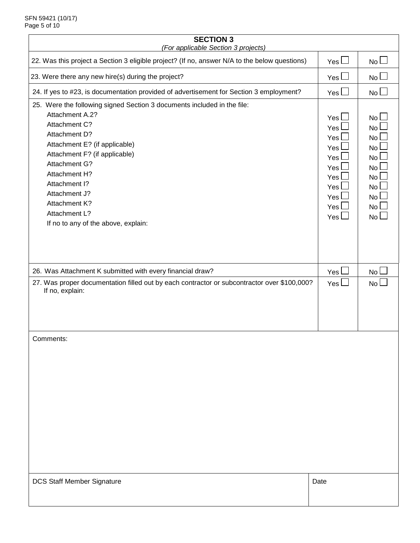| <b>SECTION 3</b><br>(For applicable Section 3 projects)                                                                                                                                                                                                                                                                                            |                                                                                                |                                                                                |  |  |  |
|----------------------------------------------------------------------------------------------------------------------------------------------------------------------------------------------------------------------------------------------------------------------------------------------------------------------------------------------------|------------------------------------------------------------------------------------------------|--------------------------------------------------------------------------------|--|--|--|
| 22. Was this project a Section 3 eligible project? (If no, answer N/A to the below questions)                                                                                                                                                                                                                                                      | Yes $\Box$                                                                                     | No <sub>1</sub>                                                                |  |  |  |
| 23. Were there any new hire(s) during the project?                                                                                                                                                                                                                                                                                                 | Yes $\Box$                                                                                     | No L                                                                           |  |  |  |
| 24. If yes to #23, is documentation provided of advertisement for Section 3 employment?                                                                                                                                                                                                                                                            | Yes $\Box$                                                                                     | No L                                                                           |  |  |  |
| 25. Were the following signed Section 3 documents included in the file:<br>Attachment A.2?<br>Attachment C?<br>Attachment D?<br>Attachment E? (if applicable)<br>Attachment F? (if applicable)<br>Attachment G?<br>Attachment H?<br>Attachment I?<br>Attachment J?<br><b>Attachment K?</b><br>Attachment L?<br>If no to any of the above, explain: | Yes $\Box$<br>Yes l<br>Yes l<br>Yes<br>Yes<br>Yes l<br>Yes  <br>Yes l<br>Yes l<br>Yes<br>Yes L | No L<br>No l<br>No l<br>No<br>No<br>No l<br>No l<br>No l<br>No l<br>No<br>No L |  |  |  |
| 26. Was Attachment K submitted with every financial draw?<br>27. Was proper documentation filled out by each contractor or subcontractor over \$100,000?<br>If no, explain:                                                                                                                                                                        | Yes l<br>Yes $\Box$                                                                            | <b>No</b><br>No L                                                              |  |  |  |
| Comments:                                                                                                                                                                                                                                                                                                                                          |                                                                                                |                                                                                |  |  |  |
| <b>DCS Staff Member Signature</b>                                                                                                                                                                                                                                                                                                                  | Date                                                                                           |                                                                                |  |  |  |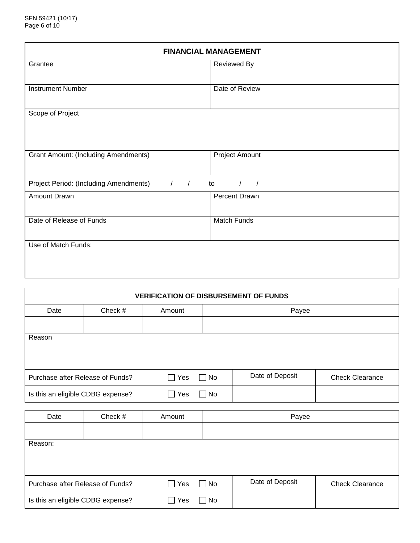| <b>FINANCIAL MANAGEMENT</b>                 |                       |  |  |  |
|---------------------------------------------|-----------------------|--|--|--|
| Grantee                                     | Reviewed By           |  |  |  |
| <b>Instrument Number</b>                    | Date of Review        |  |  |  |
| Scope of Project                            |                       |  |  |  |
| <b>Grant Amount: (Including Amendments)</b> | <b>Project Amount</b> |  |  |  |
|                                             | to                    |  |  |  |
| Amount Drawn                                | Percent Drawn         |  |  |  |
| Date of Release of Funds                    | <b>Match Funds</b>    |  |  |  |
| Use of Match Funds:                         |                       |  |  |  |

| <b>VERIFICATION OF DISBURSEMENT OF FUNDS</b> |         |            |           |                 |                        |  |
|----------------------------------------------|---------|------------|-----------|-----------------|------------------------|--|
| Date                                         | Check # | Amount     | Payee     |                 |                        |  |
|                                              |         |            |           |                 |                        |  |
| Reason                                       |         |            |           |                 |                        |  |
| Purchase after Release of Funds?             |         | $\Box$ Yes | $\Box$ No | Date of Deposit | <b>Check Clearance</b> |  |
| Is this an eligible CDBG expense?            |         | Yes        | No<br>L   |                 |                        |  |

| Date                              | Check # | Amount                          | Payee     |                 |                        |
|-----------------------------------|---------|---------------------------------|-----------|-----------------|------------------------|
|                                   |         |                                 |           |                 |                        |
| Reason:                           |         |                                 |           |                 |                        |
|                                   |         |                                 |           |                 |                        |
|                                   |         |                                 |           |                 |                        |
| Purchase after Release of Funds?  |         | Yes<br>$\overline{\phantom{a}}$ | $\Box$ No | Date of Deposit | <b>Check Clearance</b> |
| Is this an eligible CDBG expense? |         | <b>Yes</b>                      | No        |                 |                        |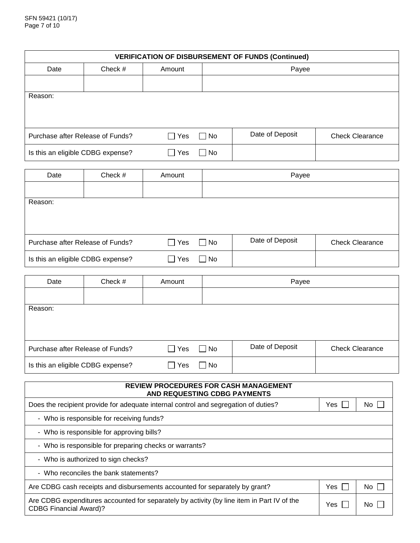| <b>VERIFICATION OF DISBURSEMENT OF FUNDS (Continued)</b> |                                   |            |           |                 |                        |  |  |
|----------------------------------------------------------|-----------------------------------|------------|-----------|-----------------|------------------------|--|--|
| Date                                                     | Check #                           | Amount     |           | Payee           |                        |  |  |
|                                                          |                                   |            |           |                 |                        |  |  |
| Reason:                                                  |                                   |            |           |                 |                        |  |  |
|                                                          | Purchase after Release of Funds?  | $\Box$ Yes | $\Box$ No | Date of Deposit | <b>Check Clearance</b> |  |  |
|                                                          | Is this an eligible CDBG expense? | Yes        | No.       |                 |                        |  |  |

| Date                              | Check # | Amount        | Payee     |                 |                        |
|-----------------------------------|---------|---------------|-----------|-----------------|------------------------|
|                                   |         |               |           |                 |                        |
| Reason:                           |         |               |           |                 |                        |
|                                   |         |               |           |                 |                        |
|                                   |         |               |           |                 |                        |
| Purchase after Release of Funds?  |         | $\Box$ Yes    | $\Box$ No | Date of Deposit | <b>Check Clearance</b> |
| Is this an eligible CDBG expense? |         | Yes<br>$\Box$ | $\Box$ No |                 |                        |

| Date                              | Check # | Amount                | Payee                |                 |                        |
|-----------------------------------|---------|-----------------------|----------------------|-----------------|------------------------|
|                                   |         |                       |                      |                 |                        |
| Reason:                           |         |                       |                      |                 |                        |
|                                   |         |                       |                      |                 |                        |
|                                   |         |                       |                      |                 |                        |
| Purchase after Release of Funds?  |         | Yes<br>$\blacksquare$ | No<br>$\blacksquare$ | Date of Deposit | <b>Check Clearance</b> |
| Is this an eligible CDBG expense? |         | <b>Yes</b>            | No                   |                 |                        |

| <b>REVIEW PROCEDURES FOR CASH MANAGEMENT</b><br>AND REQUESTING CDBG PAYMENTS                                                |       |                      |  |
|-----------------------------------------------------------------------------------------------------------------------------|-------|----------------------|--|
| Does the recipient provide for adequate internal control and segregation of duties?                                         | Yes   | $No$ $\vert \ \vert$ |  |
| - Who is responsible for receiving funds?                                                                                   |       |                      |  |
| - Who is responsible for approving bills?                                                                                   |       |                      |  |
| - Who is responsible for preparing checks or warrants?                                                                      |       |                      |  |
| - Who is authorized to sign checks?                                                                                         |       |                      |  |
| - Who reconciles the bank statements?                                                                                       |       |                      |  |
| Are CDBG cash receipts and disbursements accounted for separately by grant?                                                 | Yes   | $No$ $ $ $ $         |  |
| Are CDBG expenditures accounted for separately by activity (by line item in Part IV of the<br><b>CDBG Financial Award)?</b> | Yes I | No.                  |  |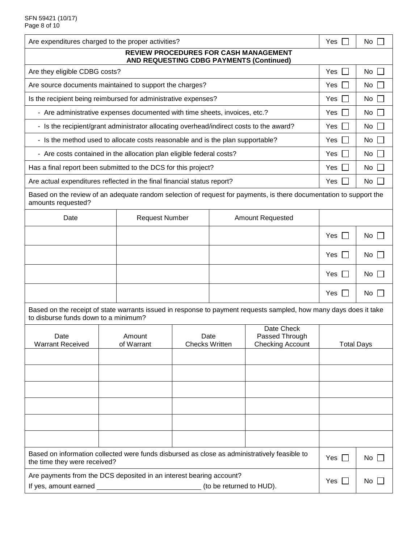| Are expenditures charged to the proper activities?                                                                                                        |  |                       |                                             | Yes $\Box$  | $No$ $\Box$                               |                   |             |
|-----------------------------------------------------------------------------------------------------------------------------------------------------------|--|-----------------------|---------------------------------------------|-------------|-------------------------------------------|-------------------|-------------|
| <b>REVIEW PROCEDURES FOR CASH MANAGEMENT</b><br>AND REQUESTING CDBG PAYMENTS (Continued)                                                                  |  |                       |                                             |             |                                           |                   |             |
| Are they eligible CDBG costs?                                                                                                                             |  |                       |                                             | Yes $\vert$ | No                                        |                   |             |
| Are source documents maintained to support the charges?                                                                                                   |  |                       |                                             | Yes $\Box$  | No                                        |                   |             |
| Is the recipient being reimbursed for administrative expenses?                                                                                            |  |                       |                                             |             |                                           | Yes $\Box$        | $No$ $\Box$ |
| - Are administrative expenses documented with time sheets, invoices, etc.?                                                                                |  |                       |                                             |             |                                           | Yes               | $No$ $\Box$ |
| - Is the recipient/grant administrator allocating overhead/indirect costs to the award?                                                                   |  |                       |                                             | Yes $\Box$  | No                                        |                   |             |
| - Is the method used to allocate costs reasonable and is the plan supportable?                                                                            |  |                       |                                             |             |                                           | Yes $\Box$        | $No$ $\Box$ |
| - Are costs contained in the allocation plan eligible federal costs?                                                                                      |  |                       |                                             |             |                                           | Yes               | $No$ $\Box$ |
| Has a final report been submitted to the DCS for this project?                                                                                            |  |                       |                                             |             |                                           | Yes $\Box$        | No          |
| Are actual expenditures reflected in the final financial status report?                                                                                   |  |                       |                                             |             |                                           | Yes $\Box$        | $No$ $\Box$ |
| Based on the review of an adequate random selection of request for payments, is there documentation to support the<br>amounts requested?                  |  |                       |                                             |             |                                           |                   |             |
| Date                                                                                                                                                      |  | <b>Request Number</b> |                                             |             | <b>Amount Requested</b>                   |                   |             |
|                                                                                                                                                           |  |                       |                                             |             |                                           |                   | $No$ $\Box$ |
|                                                                                                                                                           |  |                       |                                             |             |                                           | Yes $\Box$        | $No \Box$   |
|                                                                                                                                                           |  |                       |                                             |             |                                           | Yes<br>$\Box$     | No          |
|                                                                                                                                                           |  |                       |                                             |             |                                           | Yes               | No          |
| Based on the receipt of state warrants issued in response to payment requests sampled, how many days does it take<br>to disburse funds down to a minimum? |  |                       |                                             |             |                                           |                   |             |
| Date<br><b>Warrant Received</b>                                                                                                                           |  | Amount<br>of Warrant  | Date Check<br>Date<br><b>Checks Written</b> |             | Passed Through<br><b>Checking Account</b> | <b>Total Days</b> |             |
|                                                                                                                                                           |  |                       |                                             |             |                                           |                   |             |
|                                                                                                                                                           |  |                       |                                             |             |                                           |                   |             |
|                                                                                                                                                           |  |                       |                                             |             |                                           |                   |             |
|                                                                                                                                                           |  |                       |                                             |             |                                           |                   |             |
|                                                                                                                                                           |  |                       |                                             |             |                                           |                   |             |
|                                                                                                                                                           |  |                       |                                             |             |                                           |                   |             |
| Based on information collected were funds disbursed as close as administratively feasible to<br>the time they were received?                              |  |                       |                                             | Yes $\Box$  | $No$                                      |                   |             |
| Are payments from the DCS deposited in an interest bearing account?<br>(to be returned to HUD).<br>If yes, amount earned _                                |  |                       |                                             | Yes $\Box$  | No $\Box$                                 |                   |             |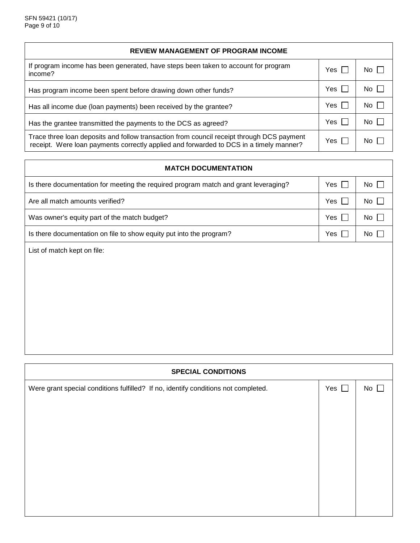| <b>REVIEW MANAGEMENT OF PROGRAM INCOME</b>                                                                                                                                          |       |             |  |
|-------------------------------------------------------------------------------------------------------------------------------------------------------------------------------------|-------|-------------|--|
| If program income has been generated, have steps been taken to account for program<br>income?                                                                                       | Yes I | No I        |  |
| Has program income been spent before drawing down other funds?                                                                                                                      | Yes   | $No$ $\Box$ |  |
| Has all income due (loan payments) been received by the grantee?                                                                                                                    | Yes   | $No$ $\Box$ |  |
| Has the grantee transmitted the payments to the DCS as agreed?                                                                                                                      | Yes [ | $No$ $\Box$ |  |
| Trace three loan deposits and follow transaction from council receipt through DCS payment<br>receipt. Were loan payments correctly applied and forwarded to DCS in a timely manner? | Yes   | No I        |  |

| <b>MATCH DOCUMENTATION</b>                                                          |                     |             |  |  |
|-------------------------------------------------------------------------------------|---------------------|-------------|--|--|
| Is there documentation for meeting the required program match and grant leveraging? | Yes<br>$\mathbf{I}$ | $No$ $\Box$ |  |  |
| Are all match amounts verified?                                                     | Yes $\Box$          | No $\Box$   |  |  |
| Was owner's equity part of the match budget?                                        | Yes $\Box$          | $No$ $\Box$ |  |  |
| Is there documentation on file to show equity put into the program?                 | Yes                 | No          |  |  |
| List of match kept on file:                                                         |                     |             |  |  |
|                                                                                     |                     |             |  |  |
|                                                                                     |                     |             |  |  |
|                                                                                     |                     |             |  |  |
|                                                                                     |                     |             |  |  |
|                                                                                     |                     |             |  |  |

| <b>SPECIAL CONDITIONS</b>                                                          |               |           |  |  |
|------------------------------------------------------------------------------------|---------------|-----------|--|--|
| Were grant special conditions fulfilled? If no, identify conditions not completed. | Yes $\square$ | $No \Box$ |  |  |
|                                                                                    |               |           |  |  |
|                                                                                    |               |           |  |  |
|                                                                                    |               |           |  |  |
|                                                                                    |               |           |  |  |
|                                                                                    |               |           |  |  |
|                                                                                    |               |           |  |  |
|                                                                                    |               |           |  |  |